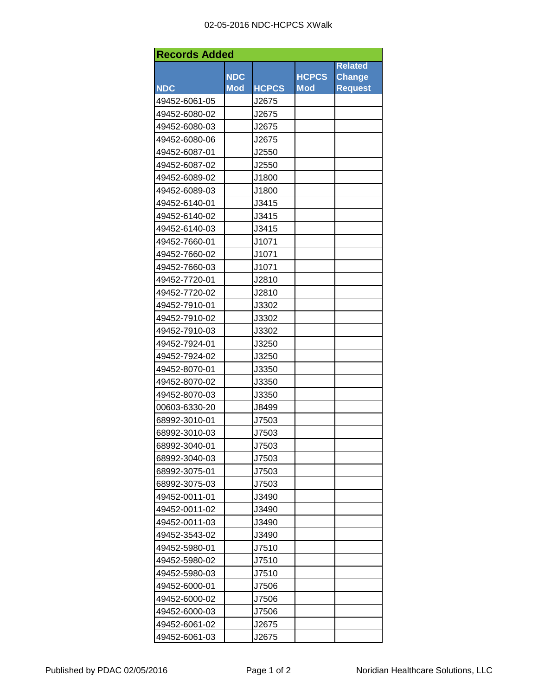| <b>Records Added</b> |            |              |              |                |  |  |  |
|----------------------|------------|--------------|--------------|----------------|--|--|--|
|                      |            |              |              | <b>Related</b> |  |  |  |
|                      | <b>NDC</b> |              | <b>HCPCS</b> | <b>Change</b>  |  |  |  |
| <b>NDC</b>           | <b>Mod</b> | <b>HCPCS</b> | <b>Mod</b>   | <b>Request</b> |  |  |  |
| 49452-6061-05        |            | J2675        |              |                |  |  |  |
| 49452-6080-02        |            | J2675        |              |                |  |  |  |
| 49452-6080-03        |            | J2675        |              |                |  |  |  |
| 49452-6080-06        |            | J2675        |              |                |  |  |  |
| 49452-6087-01        |            | J2550        |              |                |  |  |  |
| 49452-6087-02        |            | J2550        |              |                |  |  |  |
| 49452-6089-02        |            | J1800        |              |                |  |  |  |
| 49452-6089-03        |            | J1800        |              |                |  |  |  |
| 49452-6140-01        |            | J3415        |              |                |  |  |  |
| 49452-6140-02        |            | J3415        |              |                |  |  |  |
| 49452-6140-03        |            | J3415        |              |                |  |  |  |
| 49452-7660-01        |            | J1071        |              |                |  |  |  |
| 49452-7660-02        |            | J1071        |              |                |  |  |  |
| 49452-7660-03        |            | J1071        |              |                |  |  |  |
| 49452-7720-01        |            | J2810        |              |                |  |  |  |
| 49452-7720-02        |            | J2810        |              |                |  |  |  |
| 49452-7910-01        |            | J3302        |              |                |  |  |  |
| 49452-7910-02        |            | J3302        |              |                |  |  |  |
| 49452-7910-03        |            | J3302        |              |                |  |  |  |
| 49452-7924-01        |            | J3250        |              |                |  |  |  |
| 49452-7924-02        |            | J3250        |              |                |  |  |  |
| 49452-8070-01        |            | J3350        |              |                |  |  |  |
| 49452-8070-02        |            | J3350        |              |                |  |  |  |
| 49452-8070-03        |            | J3350        |              |                |  |  |  |
| 00603-6330-20        |            | J8499        |              |                |  |  |  |
| 68992-3010-01        |            | J7503        |              |                |  |  |  |
| 68992-3010-03        |            | J7503        |              |                |  |  |  |
| 68992-3040-01        |            | J7503        |              |                |  |  |  |
| 68992-3040-03        |            | J7503        |              |                |  |  |  |
| 68992-3075-01        |            | J7503        |              |                |  |  |  |
| 68992-3075-03        |            | J7503        |              |                |  |  |  |
| 49452-0011-01        |            | J3490        |              |                |  |  |  |
| 49452-0011-02        |            | J3490        |              |                |  |  |  |
| 49452-0011-03        |            | J3490        |              |                |  |  |  |
| 49452-3543-02        |            | J3490        |              |                |  |  |  |
| 49452-5980-01        |            | J7510        |              |                |  |  |  |
| 49452-5980-02        |            | J7510        |              |                |  |  |  |
| 49452-5980-03        |            | J7510        |              |                |  |  |  |
| 49452-6000-01        |            | J7506        |              |                |  |  |  |
| 49452-6000-02        |            | J7506        |              |                |  |  |  |
| 49452-6000-03        |            | J7506        |              |                |  |  |  |
| 49452-6061-02        |            | J2675        |              |                |  |  |  |
| 49452-6061-03        |            | J2675        |              |                |  |  |  |